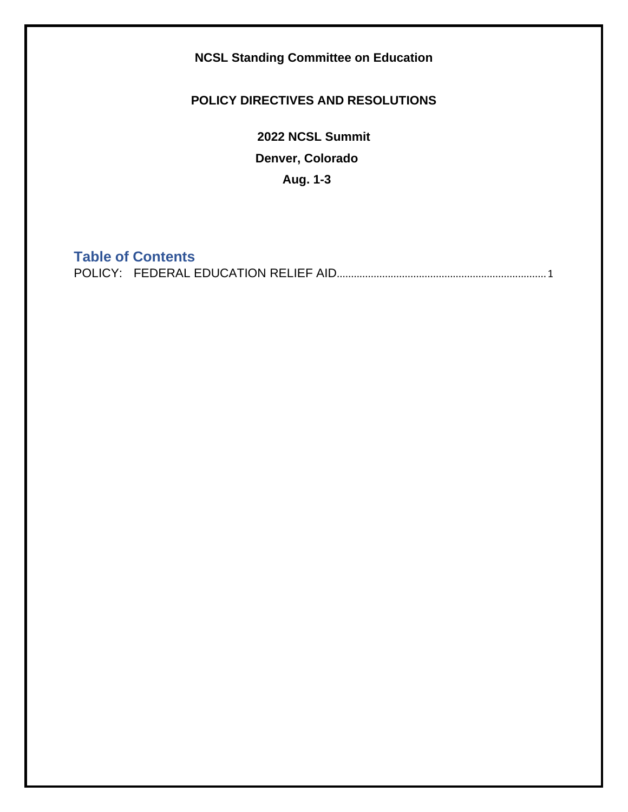**NCSL Standing Committee on Education**

## **POLICY DIRECTIVES AND RESOLUTIONS**

**2022 NCSL Summit Denver, Colorado Aug. 1-3**

## **Table of Contents**

<span id="page-0-0"></span>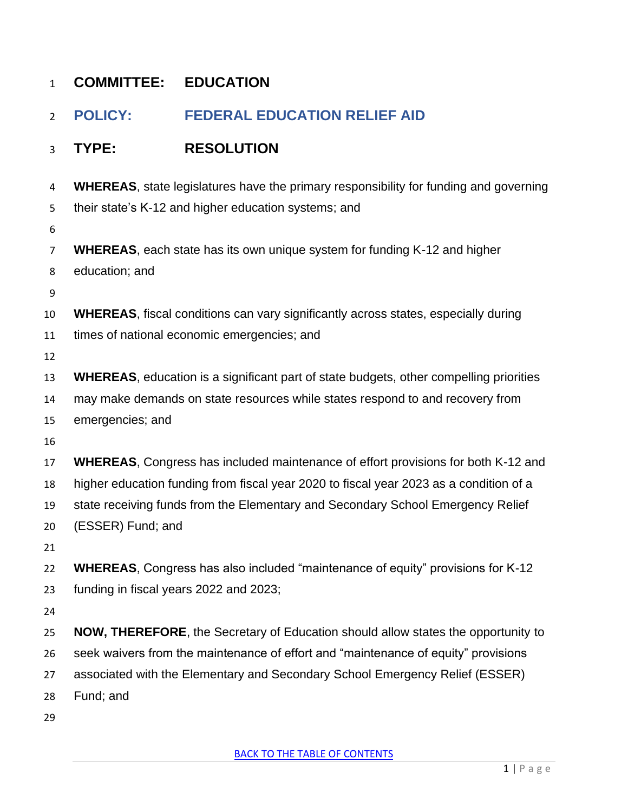| $\mathbf{1}$   | <b>COMMITTEE:</b>                                                                                                                        | <b>EDUCATION</b>                                                                               |
|----------------|------------------------------------------------------------------------------------------------------------------------------------------|------------------------------------------------------------------------------------------------|
| $\overline{2}$ | <b>POLICY:</b>                                                                                                                           | <b>FEDERAL EDUCATION RELIEF AID</b>                                                            |
| 3              | TYPE:                                                                                                                                    | <b>RESOLUTION</b>                                                                              |
| 4              | <b>WHEREAS</b> , state legislatures have the primary responsibility for funding and governing                                            |                                                                                                |
| 5<br>6         | their state's K-12 and higher education systems; and                                                                                     |                                                                                                |
| $\overline{7}$ | <b>WHEREAS</b> , each state has its own unique system for funding K-12 and higher                                                        |                                                                                                |
| 8              | education; and                                                                                                                           |                                                                                                |
| 9              |                                                                                                                                          |                                                                                                |
| 10             | <b>WHEREAS, fiscal conditions can vary significantly across states, especially during</b><br>times of national economic emergencies; and |                                                                                                |
| 11<br>12       |                                                                                                                                          |                                                                                                |
| 13             |                                                                                                                                          | <b>WHEREAS</b> , education is a significant part of state budgets, other compelling priorities |
| 14             | may make demands on state resources while states respond to and recovery from                                                            |                                                                                                |
| 15             | emergencies; and                                                                                                                         |                                                                                                |
| 16             |                                                                                                                                          |                                                                                                |
| 17             |                                                                                                                                          | <b>WHEREAS, Congress has included maintenance of effort provisions for both K-12 and</b>       |
| 18             | higher education funding from fiscal year 2020 to fiscal year 2023 as a condition of a                                                   |                                                                                                |
| 19             | state receiving funds from the Elementary and Secondary School Emergency Relief                                                          |                                                                                                |
| 20             | (ESSER) Fund; and                                                                                                                        |                                                                                                |
| 21             |                                                                                                                                          |                                                                                                |
| 22             |                                                                                                                                          | <b>WHEREAS, Congress has also included "maintenance of equity" provisions for K-12</b>         |
| 23             | funding in fiscal years 2022 and 2023;                                                                                                   |                                                                                                |
| 24             |                                                                                                                                          |                                                                                                |
| 25             | <b>NOW, THEREFORE, the Secretary of Education should allow states the opportunity to</b>                                                 |                                                                                                |
| 26             | seek waivers from the maintenance of effort and "maintenance of equity" provisions                                                       |                                                                                                |
| 27<br>28       | associated with the Elementary and Secondary School Emergency Relief (ESSER)<br>Fund; and                                                |                                                                                                |
| 29             |                                                                                                                                          |                                                                                                |